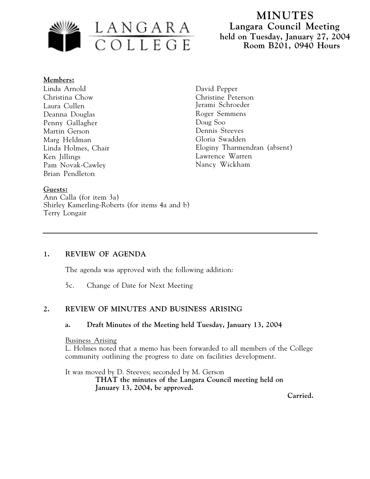

#### **Members:**

Linda Arnold Christina Chow Laura Cullen Deanna Douglas Penny Gallagher Martin Gerson Marg Heldman Linda Holmes, Chair Ken Jillings Pam Novak-Cawley Brian Pendleton

David Pepper Christine Peterson Jerami Schroeder Roger Semmens Doug Soo Dennis Steeves Gloria Swadden Eloginy Tharmendran (absent) Lawrence Warren Nancy Wickham

### **Guests:**

Ann Calla (for item 3a) Shirley Kamerling-Roberts (for items 4a and b) Terry Longair

### **1. REVIEW OF AGENDA**

The agenda was approved with the following addition:

5c. Change of Date for Next Meeting

### **2. REVIEW OF MINUTES AND BUSINESS ARISING**

#### **a. Draft Minutes of the Meeting held Tuesday, January 13, 2004**

#### Business Arising

L. Holmes noted that a memo has been forwarded to all members of the College community outlining the progress to date on facilities development.

It was moved by D. Steeves; seconded by M. Gerson

**THAT the minutes of the Langara Council meeting held on January 13, 2004, be approved.**

**Carried.**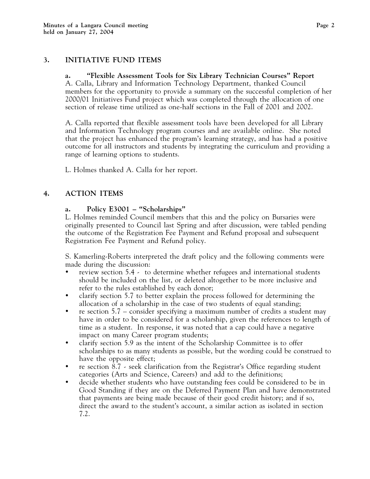## **3. INITIATIVE FUND ITEMS**

### **a. "Flexible Assessment Tools for Six Library Technician Courses" Report**

A. Calla, Library and Information Technology Department, thanked Council members for the opportunity to provide a summary on the successful completion of her 2000/01 Initiatives Fund project which was completed through the allocation of one section of release time utilized as one-half sections in the Fall of 2001 and 2002.

A. Calla reported that flexible assessment tools have been developed for all Library and Information Technology program courses and are available online. She noted that the project has enhanced the program's learning strategy, and has had a positive outcome for all instructors and students by integrating the curriculum and providing a range of learning options to students.

L. Holmes thanked A. Calla for her report.

### **4. ACTION ITEMS**

#### **a. Policy E3001 – "Scholarships"**

L. Holmes reminded Council members that this and the policy on Bursaries were originally presented to Council last Spring and after discussion, were tabled pending the outcome of the Registration Fee Payment and Refund proposal and subsequent Registration Fee Payment and Refund policy.

S. Kamerling-Roberts interpreted the draft policy and the following comments were made during the discussion:

- review section 5.4 to determine whether refugees and international students should be included on the list, or deleted altogether to be more inclusive and refer to the rules established by each donor;
- clarify section 5.7 to better explain the process followed for determining the allocation of a scholarship in the case of two students of equal standing;
- re section 5.7 consider specifying a maximum number of credits a student may have in order to be considered for a scholarship, given the references to length of time as a student. In response, it was noted that a cap could have a negative impact on many Career program students;
- clarify section 5.9 as the intent of the Scholarship Committee is to offer scholarships to as many students as possible, but the wording could be construed to have the opposite effect;
- re section 8.7 seek clarification from the Registrar's Office regarding student categories (Arts and Science, Careers) and add to the definitions;
- decide whether students who have outstanding fees could be considered to be in Good Standing if they are on the Deferred Payment Plan and have demonstrated that payments are being made because of their good credit history; and if so, direct the award to the student's account, a similar action as isolated in section 7.2.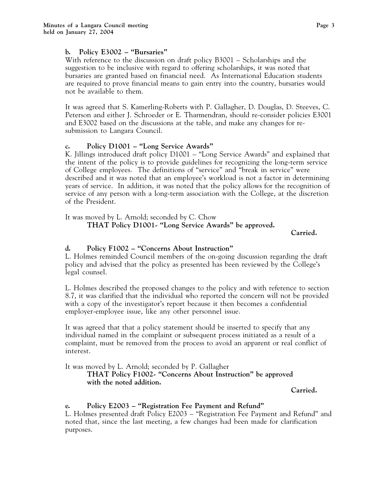## **b. Policy E3002 – "Bursaries"**

With reference to the discussion on draft policy B3001 – Scholarships and the suggestion to be inclusive with regard to offering scholarships, it was noted that bursaries are granted based on financial need. As International Education students are required to prove financial means to gain entry into the country, bursaries would not be available to them.

It was agreed that S. Kamerling-Roberts with P. Gallagher, D. Douglas, D. Steeves, C. Peterson and either J. Schroeder or E. Tharmendran, should re-consider policies E3001 and E3002 based on the discussions at the table, and make any changes for resubmission to Langara Council.

# **c. Policy D1001 – "Long Service Awards"**

K. Jillings introduced draft policy D1001 – "Long Service Awards" and explained that the intent of the policy is to provide guidelines for recognizing the long-term service of College employees. The definitions of "service" and "break in service" were described and it was noted that an employee's workload is not a factor in determining years of service. In addition, it was noted that the policy allows for the recognition of service of any person with a long-term association with the College, at the discretion of the President.

It was moved by L. Arnold; seconded by C. Chow

**THAT Policy D1001- "Long Service Awards" be approved.**

**Carried.**

# **d. Policy F1002 – "Concerns About Instruction"**

L. Holmes reminded Council members of the on-going discussion regarding the draft policy and advised that the policy as presented has been reviewed by the College's legal counsel.

L. Holmes described the proposed changes to the policy and with reference to section 8.7, it was clarified that the individual who reported the concern will not be provided with a copy of the investigator's report because it then becomes a confidential employer-employee issue, like any other personnel issue.

It was agreed that that a policy statement should be inserted to specify that any individual named in the complaint or subsequent process initiated as a result of a complaint, must be removed from the process to avoid an apparent or real conflict of interest.

It was moved by L. Arnold; seconded by P. Gallagher

# **THAT Policy F1002- "Concerns About Instruction" be approved with the noted addition.**

**Carried.**

# **e. Policy E2003 – "Registration Fee Payment and Refund"**

L. Holmes presented draft Policy E2003 – "Registration Fee Payment and Refund" and noted that, since the last meeting, a few changes had been made for clarification purposes.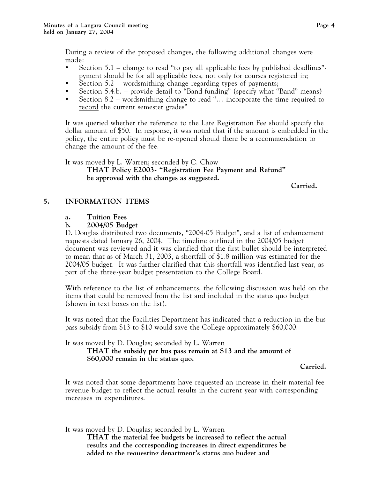During a review of the proposed changes, the following additional changes were made:

- Section 5.1 change to read "to pay all applicable fees by published deadlines" pyment should be for all applicable fees, not only for courses registered in;
- Section  $5.2$  wordsmithing change regarding types of payments;
- Section 5.4.b. provide detail to "Band funding" (specify what "Band" means)
- Section 8.2 wordsmithing change to read "… incorporate the time required to record the current semester grades"

It was queried whether the reference to the Late Registration Fee should specify the dollar amount of \$50. In response, it was noted that if the amount is embedded in the policy, the entire policy must be re-opened should there be a recommendation to change the amount of the fee.

It was moved by L. Warren; seconded by C. Chow **THAT Policy E2003- "Registration Fee Payment and Refund" be approved with the changes as suggested.**

**Carried.**

# **5. INFORMATION ITEMS**

## **a. Tuition Fees**

## **b. 2004/05 Budget**

D. Douglas distributed two documents, "2004-05 Budget", and a list of enhancement requests dated January 26, 2004. The timeline outlined in the 2004/05 budget document was reviewed and it was clarified that the first bullet should be interpreted to mean that as of March 31, 2003, a shortfall of \$1.8 million was estimated for the 2004/05 budget. It was further clarified that this shortfall was identified last year, as part of the three-year budget presentation to the College Board.

With reference to the list of enhancements, the following discussion was held on the items that could be removed from the list and included in the status quo budget (shown in text boxes on the list).

It was noted that the Facilities Department has indicated that a reduction in the bus pass subsidy from \$13 to \$10 would save the College approximately \$60,000.

It was moved by D. Douglas; seconded by L. Warren

## **THAT the subsidy per bus pass remain at \$13 and the amount of \$60,000 remain in the status quo.**

**Carried.**

It was noted that some departments have requested an increase in their material fee revenue budget to reflect the actual results in the current year with corresponding increases in expenditures.

It was moved by D. Douglas; seconded by L. Warren **THAT the material fee budgets be increased to reflect the actual results and the corresponding increases in direct expenditures be added to the requesting department's status quo budget and**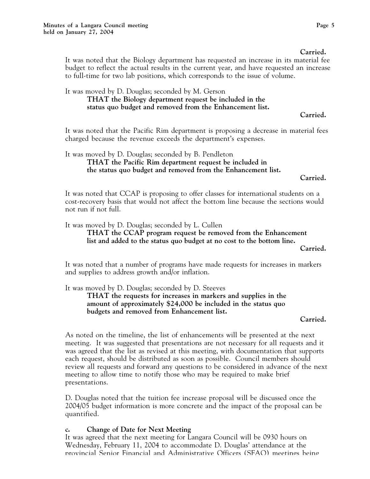It was noted that the Biology department has requested an increase in its material fee budget to reflect the actual results in the current year, and have requested an increase to full-time for two lab positions, which corresponds to the issue of volume.

It was moved by D. Douglas; seconded by M. Gerson

## **THAT the Biology department request be included in the status quo budget and removed from the Enhancement list.**

**Carried.**

It was noted that the Pacific Rim department is proposing a decrease in material fees charged because the revenue exceeds the department's expenses.

### It was moved by D. Douglas; seconded by B. Pendleton **THAT the Pacific Rim department request be included in the status quo budget and removed from the Enhancement list.**

**Carried.**

It was noted that CCAP is proposing to offer classes for international students on a cost-recovery basis that would not affect the bottom line because the sections would not run if not full.

It was moved by D. Douglas; seconded by L. Cullen

**THAT the CCAP program request be removed from the Enhancement list and added to the status quo budget at no cost to the bottom line.**

**Carried.**

It was noted that a number of programs have made requests for increases in markers and supplies to address growth and/or inflation.

It was moved by D. Douglas; seconded by D. Steeves

**THAT the requests for increases in markers and supplies in the amount of approximately \$24,000 be included in the status quo budgets and removed from Enhancement list.**

#### **Carried.**

As noted on the timeline, the list of enhancements will be presented at the next meeting. It was suggested that presentations are not necessary for all requests and it was agreed that the list as revised at this meeting, with documentation that supports each request, should be distributed as soon as possible. Council members should review all requests and forward any questions to be considered in advance of the next meeting to allow time to notify those who may be required to make brief presentations.

D. Douglas noted that the tuition fee increase proposal will be discussed once the 2004/05 budget information is more concrete and the impact of the proposal can be quantified.

### **c. Change of Date for Next Meeting**

It was agreed that the next meeting for Langara Council will be 0930 hours on Wednesday, February 11, 2004 to accommodate D. Douglas' attendance at the provincial Senior Financial and Administrative Officers (SFAO) meetings being